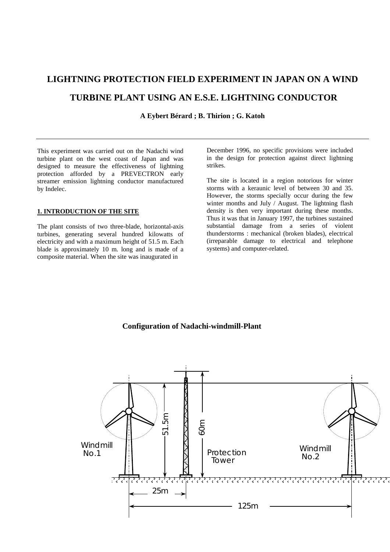# **LIGHTNING PROTECTION FIELD EXPERIMENT IN JAPAN ON A WIND TURBINE PLANT USING AN E.S.E. LIGHTNING CONDUCTOR**

**A Eybert Bérard ; B. Thirion ; G. Katoh** 

This experiment was carried out on the Nadachi wind turbine plant on the west coast of Japan and was designed to measure the effectiveness of lightning protection afforded by a PREVECTRON early streamer emission lightning conductor manufactured by Indelec.

# **1. INTRODUCTION OF THE SITE**

The plant consists of two three-blade, horizontal-axis turbines, generating several hundred kilowatts of electricity and with a maximum height of 51.5 m. Each blade is approximately 10 m. long and is made of a composite material. When the site was inaugurated in

December 1996, no specific provisions were included in the design for protection against direct lightning strikes.

The site is located in a region notorious for winter storms with a keraunic level of between 30 and 35. However, the storms specially occur during the few winter months and July / August. The lightning flash density is then very important during these months. Thus it was that in January 1997, the turbines sustained substantial damage from a series of violent thunderstorms : mechanical (broken blades), electrical (irreparable damage to electrical and telephone systems) and computer-related.

# **Configuration of Nadachi-windmill-Plant**

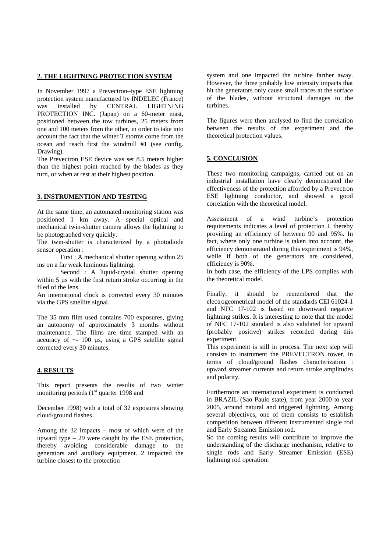#### **2. THE LIGHTNING PROTECTION SYSTEM**

In November 1997 a Prevectron–type ESE lightning protection system manufactured by INDELEC (France) was installed by CENTRAL LIGHTNING PROTECTION INC. (Japan) on a 60-meter mast, positioned between the tow turbines, 25 meters from one and 100 meters from the other, in order to take into account the fact that the winter T.storms come from the ocean and reach first the windmill #1 (see config. Drawing).

The Prevectron ESE device was set 8.5 meters higher than the highest point reached by the blades as they turn, or when at rest at their highest position.

## **3. INSTRUMENTION AND TESTING**

At the same time, an automated monitoring station was positioned 1 km away. A special optical and mechanical twin-shutter camera allows the lightning to be photographed very quickly.

The twin-shutter is characterized by a photodiode sensor operation :

 First : A mechanical shutter opening within 25 ms on a far weak luminous lightning.

 Second : A liquid-crystal shutter opening within 5  $\mu$ s with the first return stroke occurring in the filed of the lens.

An international clock is corrected every 30 minutes via the GPS satellite signal.

The 35 mm film used contains 700 exposures, giving an autonomy of approximately 3 months without maintenance. The films are time stamped with an accuracy of  $+$  100 µs, using a GPS satellite signal corrected every 30 minutes.

#### **4. RESULTS**

This report presents the results of two winter monitoring periods (1<sup>st</sup> quarter 1998 and

December 1998) with a total of 32 exposures showing cloud/ground flashes.

Among the 32 impacts – most of which were of the upward type – 29 were caught by the ESE protection, thereby avoiding considerable damage to the generators and auxiliary equipment. 2 impacted the turbine closest to the protection

system and one impacted the turbine farther away. However, the three probably low intensity impacts that hit the generators only cause small traces at the surface of the blades, without structural damages to the turbines.

The figures were then analysed to find the correlation between the results of the experiment and the theoretical protection values.

## **5. CONCLUSION**

These two monitoring campaigns, carried out on an industrial installation have clearly demonstrated the effectiveness of the protection afforded by a Prevectron ESE lightning conductor, and showed a good correlation with the theoretical model.

Assessment of a wind turbine's protection requirements indicates a level of protection I, thereby providing an efficiency of between 90 and 95%. In fact, where only one turbine is taken into account, the efficiency demonstrated during this experiment is 94%, while if both of the generators are considered, efficiency is 90%.

In both case, the efficiency of the LPS complies with the theoretical model.

Finally, it should be remembered that the electrogeometrical model of the standards CEI 61024-1 and NFC 17-102 is based on downward negative lightning strikes. It is interesting to note that the model of NFC 17-102 standard is also validated for upward (probably positive) strikes recorded during this experiment.

This experiment is still in process. The next step will consists to instrument the PREVECTRON tower, in terms of cloud/ground flashes characterization : upward streamer currents and return stroke amplitudes and polarity.

Furthermore an international experiment is conducted in BRAZIL (Sao Paulo state), from year 2000 to year 2005, around natural and triggered lightning. Among several objectives, one of them consists to establish competition between different instrumented single rod and Early Streamer Emission rod.

So the coming results will contribute to improve the understanding of the discharge mechanism, relative to single rods and Early Streamer Emission (ESE) lightning rod operation.